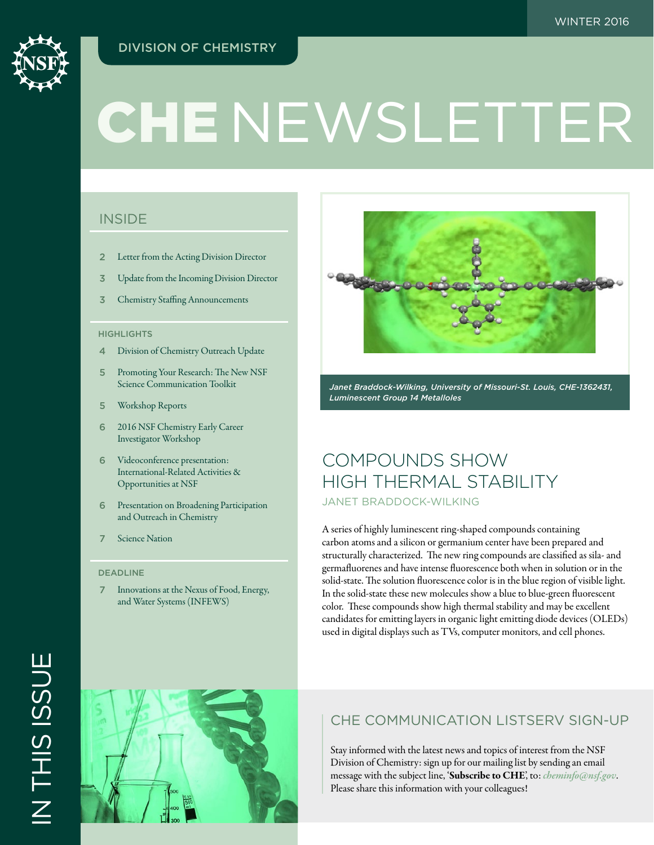## DIVISION OF CHEMISTRY



# CHE NEWSLETTER

## **INSIDE**

- 2 [Letter from the Acting Division Director](#page-1-0)
- 3 [Update from the Incoming Division Director](#page-2-0)
- 3 [Chemistry Staffing Announcements](#page-2-0)

## **HIGHLIGHTS**

- 4 [Division of Chemistry Outreach Update](#page-3-0)
- 5 [Promoting Your Research: The New NSF](#page-4-0)  [Science Communication Toolkit](#page-4-0)
- 5 [Workshop Reports](#page-4-0)
- 6 [2016 NSF Chemistry Early Career](#page-5-0)  [Investigator Workshop](#page-5-0)
- 6 [Videoconference presentation:](#page-5-0)  [International-Related Activities &](#page-5-0)  [Opportunities at NSF](#page-5-0)
- 6 [Presentation on Broadening Participation](#page-5-0)  [and Outreach in Chemistry](#page-5-0)
- 7 [Science Nation](#page-6-0)

#### DEADLINE

7 [Innovations at the Nexus of Food, Energy,](#page-6-0)  [and Water Systems \(INFEWS\)](#page-6-0)



*Janet Braddock-Wilking, University of Missouri-St. Louis, CHE-1362431, Luminescent Group 14 Metalloles*

## COMPOUNDS SHOW HIGH THERMAL STABILITY JANET BRADDOCK-WILKING

A series of highly luminescent ring-shaped compounds containing carbon atoms and a silicon or germanium center have been prepared and structurally characterized. The new ring compounds are classified as sila- and germafluorenes and have intense fluorescence both when in solution or in the solid-state. The solution fluorescence color is in the blue region of visible light. In the solid-state these new molecules show a blue to blue-green fluorescent color. These compounds show high thermal stability and may be excellent candidates for emitting layers in organic light emitting diode devices (OLEDs) used in digital displays such as TVs, computer monitors, and cell phones.



## CHE COMMUNICATION LISTSERV SIGN-UP

Stay informed with the latest news and topics of interest from the NSF Division of Chemistry: sign up for our mailing list by sending an email message with the subject line, 'Subscribe to CHE', to: *[cheminfo@nsf.gov](mailto:cheminfo%40nsf.gov?subject=Subscribe%20to%20CHE)*. Please share this information with your colleagues!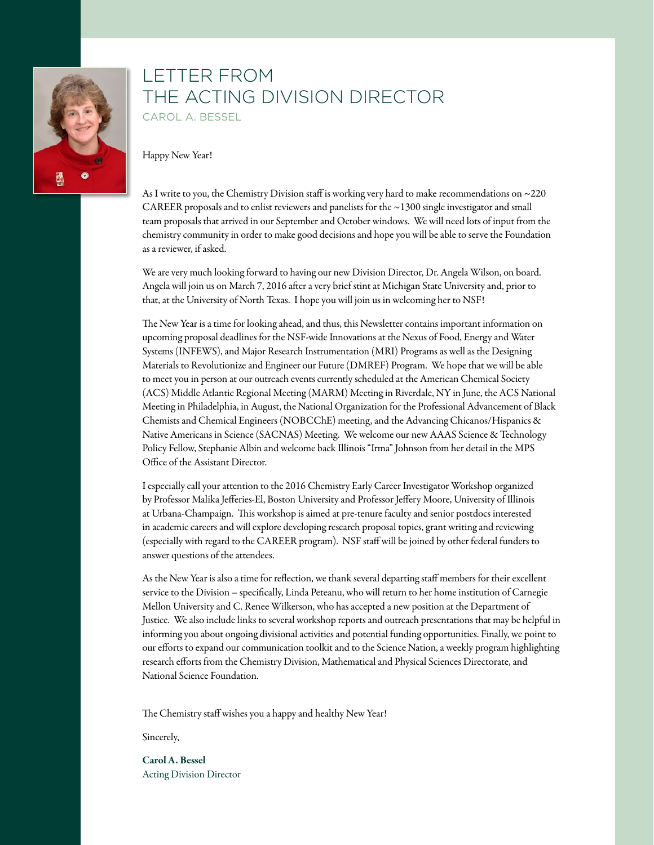<span id="page-1-0"></span>

## LETTER FROM THE ACTING DIVISION DIRECTOR CAROL A. BESSEL

Happy New Year!

As I write to you, the Chemistry Division staff is working very hard to make recommendations on ~220 CAREER proposals and to enlist reviewers and panelists for the ~1300 single investigator and small team proposals that arrived in our September and October windows. We will need lots of input from the chemistry community in order to make good decisions and hope you will be able to serve the Foundation as a reviewer, if asked.

We are very much looking forward to having our new Division Director, Dr. Angela Wilson, on board. Angela will join us on March 7, 2016 after a very brief stint at Michigan State University and, prior to that, at the University of North Texas. I hope you will join us in welcoming her to NSF!

The New Year is a time for looking ahead, and thus, this Newsletter contains important information on upcoming proposal deadlines for the NSF-wide Innovations at the Nexus of Food, Energy and Water Systems (INFEWS), and Major Research Instrumentation (MRI) Programs as well as the Designing Materials to Revolutionize and Engineer our Future (DMREF) Program. We hope that we will be able to meet you in person at our outreach events currently scheduled at the American Chemical Society (ACS) Middle Atlantic Regional Meeting (MARM) Meeting in Riverdale, NY in June, the ACS National Meeting in Philadelphia, in August, the National Organization for the Professional Advancement of Black Chemists and Chemical Engineers (NOBCChE) meeting, and the Advancing Chicanos/Hispanics & Native Americans in Science (SACNAS) Meeting. We welcome our new AAAS Science & Technology Policy Fellow, Stephanie Albin and welcome back Illinois "Irma" Johnson from her detail in the MPS Office of the Assistant Director.

I especially call your attention to the 2016 Chemistry Early Career Investigator Workshop organized by Professor Malika Jefferies-El, Boston University and Professor Jeffery Moore, University of Illinois at Urbana-Champaign. This workshop is aimed at pre-tenure faculty and senior postdocs interested in academic careers and will explore developing research proposal topics, grant writing and reviewing (especially with regard to the CAREER program). NSF staff will be joined by other federal funders to answer questions of the attendees.

As the New Year is also a time for reflection, we thank several departing staff members for their excellent service to the Division – specifically, Linda Peteanu, who will return to her home institution of Carnegie Mellon University and C. Renee Wilkerson, who has accepted a new position at the Department of Justice. We also include links to several workshop reports and outreach presentations that may be helpful in informing you about ongoing divisional activities and potential funding opportunities. Finally, we point to our efforts to expand our communication toolkit and to the Science Nation, a weekly program highlighting research efforts from the Chemistry Division, Mathematical and Physical Sciences Directorate, and National Science Foundation.

The Chemistry staff wishes you a happy and healthy New Year!

Sincerely,

Carol A. Bessel Acting Division Director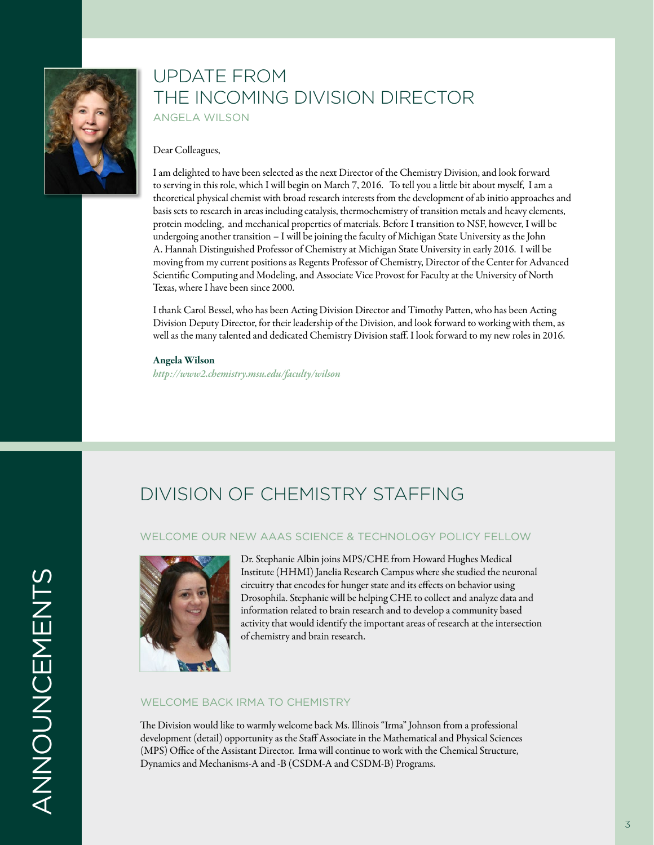<span id="page-2-0"></span>

# UPDATE FROM THE INCOMING DIVISION DIRECTOR ANGELA WILSON

## Dear Colleagues,

I am delighted to have been selected as the next Director of the Chemistry Division, and look forward to serving in this role, which I will begin on March 7, 2016. To tell you a little bit about myself, I am a theoretical physical chemist with broad research interests from the development of ab initio approaches and basis sets to research in areas including catalysis, thermochemistry of transition metals and heavy elements, protein modeling, and mechanical properties of materials. Before I transition to NSF, however, I will be undergoing another transition – I will be joining the faculty of Michigan State University as the John A. Hannah Distinguished Professor of Chemistry at Michigan State University in early 2016. I will be moving from my current positions as Regents Professor of Chemistry, Director of the Center for Advanced Scientific Computing and Modeling, and Associate Vice Provost for Faculty at the University of North Texas, where I have been since 2000.

I thank Carol Bessel, who has been Acting Division Director and Timothy Patten, who has been Acting Division Deputy Director, for their leadership of the Division, and look forward to working with them, as well as the many talented and dedicated Chemistry Division staff. I look forward to my new roles in 2016.

#### Angela Wilson

*[http://www2.chemistry.msu.edu/faculty/wilson](http://www.nsf.gov/cgi-bin/goodbye?http://www2.chemistry.msu.edu/faculty/wilson)*

# DIVISION OF CHEMISTRY STAFFING

## WELCOME OUR NEW AAAS SCIENCE & TECHNOLOGY POLICY FELLOW



Dr. Stephanie Albin joins MPS/CHE from Howard Hughes Medical Institute (HHMI) Janelia Research Campus where she studied the neuronal circuitry that encodes for hunger state and its effects on behavior using Drosophila. Stephanie will be helping CHE to collect and analyze data and information related to brain research and to develop a community based activity that would identify the important areas of research at the intersection of chemistry and brain research.

## WELCOME BACK IRMA TO CHEMISTRY

The Division would like to warmly welcome back Ms. Illinois "Irma" Johnson from a professional development (detail) opportunity as the Staff Associate in the Mathematical and Physical Sciences (MPS) Office of the Assistant Director. Irma will continue to work with the Chemical Structure, Dynamics and Mechanisms-A and -B (CSDM-A and CSDM-B) Programs.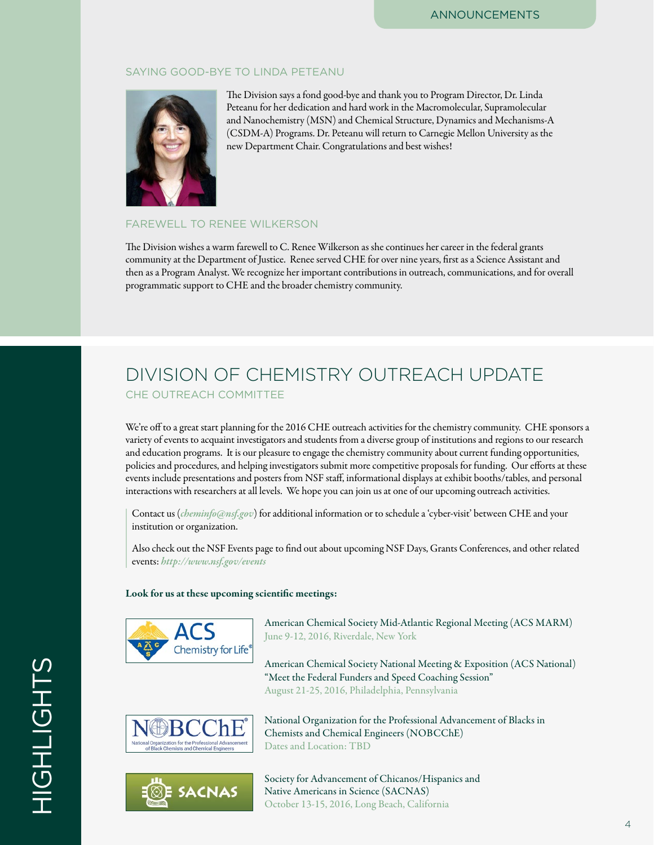## <span id="page-3-0"></span>SAYING GOOD-BYE TO LINDA PETEANU



The Division says a fond good-bye and thank you to Program Director, Dr. Linda Peteanu for her dedication and hard work in the Macromolecular, Supramolecular and Nanochemistry (MSN) and Chemical Structure, Dynamics and Mechanisms-A (CSDM-A) Programs. Dr. Peteanu will return to Carnegie Mellon University as the new Department Chair. Congratulations and best wishes!

## FAREWELL TO RENEE WILKERSON

The Division wishes a warm farewell to C. Renee Wilkerson as she continues her career in the federal grants community at the Department of Justice. Renee served CHE for over nine years, first as a Science Assistant and then as a Program Analyst. We recognize her important contributions in outreach, communications, and for overall programmatic support to CHE and the broader chemistry community.

# DIVISION OF CHEMISTRY OUTREACH UPDATE CHE OUTREACH COMMITTEE

We're off to a great start planning for the 2016 CHE outreach activities for the chemistry community. CHE sponsors a variety of events to acquaint investigators and students from a diverse group of institutions and regions to our research and education programs. It is our pleasure to engage the chemistry community about current funding opportunities, policies and procedures, and helping investigators submit more competitive proposals for funding. Our efforts at these events include presentations and posters from NSF staff, informational displays at exhibit booths/tables, and personal interactions with researchers at all levels. We hope you can join us at one of our upcoming outreach activities.

Contact us (*[cheminfo@nsf.gov](mailto:cheminfo%40nsf.gov?subject=)*) for additional information or to schedule a 'cyber-visit' between CHE and your institution or organization.

Also check out the NSF Events page to find out about upcoming NSF Days, Grants Conferences, and other related events: *<http://www.nsf.gov/events>*

## Look for us at these upcoming scientific meetings:



American Chemical Society Mid-Atlantic Regional Meeting (ACS MARM) June 9-12, 2016, Riverdale, New York

American Chemical Society National Meeting & Exposition (ACS National) "Meet the Federal Funders and Speed Coaching Session" August 21-25, 2016, Philadelphia, Pennsylvania

National Organization for the Professional Advancement of Blacks in



⊗E SACNAS

Society for Advancement of Chicanos/Hispanics and

Native Americans in Science (SACNAS) October 13-15, 2016, Long Beach, California

Chemists and Chemical Engineers (NOBCChE)

Dates and Location: TBD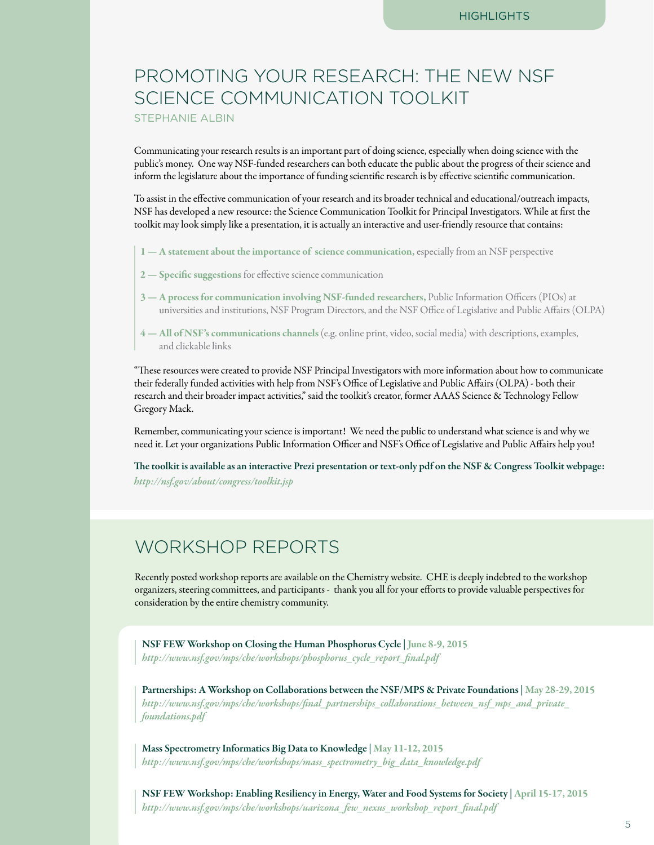# <span id="page-4-0"></span>PROMOTING YOUR RESEARCH: THE NEW NSF SCIENCE COMMUNICATION TOOLKIT STEPHANIE ALBIN

Communicating your research results is an important part of doing science, especially when doing science with the public's money. One way NSF-funded researchers can both educate the public about the progress of their science and inform the legislature about the importance of funding scientific research is by effective scientific communication.

To assist in the effective communication of your research and its broader technical and educational/outreach impacts, NSF has developed a new resource: the Science Communication Toolkit for Principal Investigators. While at first the toolkit may look simply like a presentation, it is actually an interactive and user-friendly resource that contains:

- 1 A statement about the importance of science communication, especially from an NSF perspective
- 2 Specific suggestions for effective science communication
- 3 A process for communication involving NSF-funded researchers, Public Information Officers (PIOs) at universities and institutions, NSF Program Directors, and the NSF Office of Legislative and Public Affairs (OLPA)
- 4 All of NSF's communications channels (e.g. online print, video, social media) with descriptions, examples, and clickable links

"These resources were created to provide NSF Principal Investigators with more information about how to communicate their federally funded activities with help from NSF's Office of Legislative and Public Affairs (OLPA) - both their research and their broader impact activities," said the toolkit's creator, former AAAS Science & Technology Fellow Gregory Mack.

Remember, communicating your science is important! We need the public to understand what science is and why we need it. Let your organizations Public Information Officer and NSF's Office of Legislative and Public Affairs help you!

The toolkit is available as an interactive Prezi presentation or text-only pdf on the NSF & Congress Toolkit webpage: *<http://nsf.gov/about/congress/toolkit.jsp>*

# WORKSHOP REPORTS

Recently posted workshop reports are available on the Chemistry website. CHE is deeply indebted to the workshop organizers, steering committees, and participants - thank you all for your efforts to provide valuable perspectives for consideration by the entire chemistry community.

NSF FEW Workshop on Closing the Human Phosphorus Cycle | June 8-9, 2015 *[http://www.nsf.gov/mps/che/workshops/phosphorus\\_cycle\\_report\\_final.pdf](http://www.nsf.gov/mps/che/workshops/phosphorus_cycle_report_final.pdf)*

Partnerships: A Workshop on Collaborations between the NSF/MPS & Private Foundations | May 28-29, 2015 *[http://www.nsf.gov/mps/che/workshops/final\\_partnerships\\_collaborations\\_between\\_nsf\\_mps\\_and\\_private\\_](http://www.nsf.gov/mps/che/workshops/final_partnerships_collaborations_between_nsf_mps_and_private_foundations.pdf) [foundations.pdf](http://www.nsf.gov/mps/che/workshops/final_partnerships_collaborations_between_nsf_mps_and_private_foundations.pdf)*

Mass Spectrometry Informatics Big Data to Knowledge | May 11-12, 2015 *[http://www.nsf.gov/mps/che/workshops/mass\\_spectrometry\\_big\\_data\\_knowledge.pdf](http://www.nsf.gov/mps/che/workshops/mass_spectrometry_big_data_knowledge.pdf)*

NSF FEW Workshop: Enabling Resiliency in Energy, Water and Food Systems for Society | April 15-17, 2015 *[http://www.nsf.gov/mps/che/workshops/uarizona\\_few\\_nexus\\_workshop\\_report\\_final.pdf](http://www.nsf.gov/mps/che/workshops/uarizona_few_nexus_workshop_report_final.pdf)*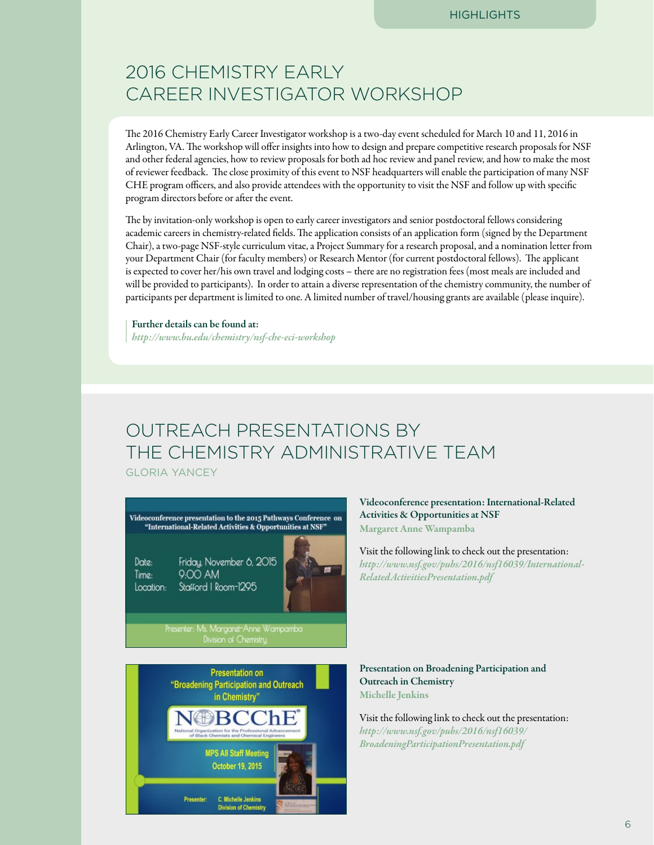# <span id="page-5-0"></span>2016 CHEMISTRY EARLY CAREER INVESTIGATOR WORKSHOP

The 2016 Chemistry Early Career Investigator workshop is a two-day event scheduled for March 10 and 11, 2016 in Arlington, VA. The workshop will offer insights into how to design and prepare competitive research proposals for NSF and other federal agencies, how to review proposals for both ad hoc review and panel review, and how to make the most of reviewer feedback. The close proximity of this event to NSF headquarters will enable the participation of many NSF CHE program officers, and also provide attendees with the opportunity to visit the NSF and follow up with specific program directors before or after the event.

The by invitation-only workshop is open to early career investigators and senior postdoctoral fellows considering academic careers in chemistry-related fields. The application consists of an application form (signed by the Department Chair), a two-page NSF-style curriculum vitae, a Project Summary for a research proposal, and a nomination letter from your Department Chair (for faculty members) or Research Mentor (for current postdoctoral fellows). The applicant is expected to cover her/his own travel and lodging costs – there are no registration fees (most meals are included and will be provided to participants). In order to attain a diverse representation of the chemistry community, the number of participants per department is limited to one. A limited number of travel/housing grants are available (please inquire).

Further details can be found at: *[http://www.bu.edu/chemistry/nsf-che-eci-workshop](http://www.nsf.gov/cgi-bin/goodbye?http://www.bu.edu/chemistry/nsf-che-eci-workshop)*

# OUTREACH PRESENTATIONS BY THE CHEMISTRY ADMINISTRATIVE TEAM GLORIA YANCEY

Videoconference presentation to the 2015 Pathways Conference on "International-Related Activities & Opportunities at NSF"

Date: Time: Location:

Friday, November 6, 2015 9:00 AM Stafford | Room-1295



Presenter: Ms. Margaret-Anne Wampamba



Videoconference presentation: International-Related Activities & Opportunities at NSF Margaret Anne Wampamba

Visit the following link to check out the presentation: *[http://www.nsf.gov/pubs/2016/nsf16039/International-](http://www.nsf.gov/pubs/2016/nsf16039/International-RelatedActivitiesPresentation.pdf)[RelatedActivitiesPresentation.pdf](http://www.nsf.gov/pubs/2016/nsf16039/International-RelatedActivitiesPresentation.pdf)*

Presentation on Broadening Participation and Outreach in Chemistry Michelle Jenkins

Visit the following link to check out the presentation: *[http://www.nsf.gov/pubs/2016/nsf16039/](http://www.nsf.gov/pubs/2016/nsf16039/BroadeningParticipationPresentation.pdf) [BroadeningParticipationPresentation.pdf](http://www.nsf.gov/pubs/2016/nsf16039/BroadeningParticipationPresentation.pdf)*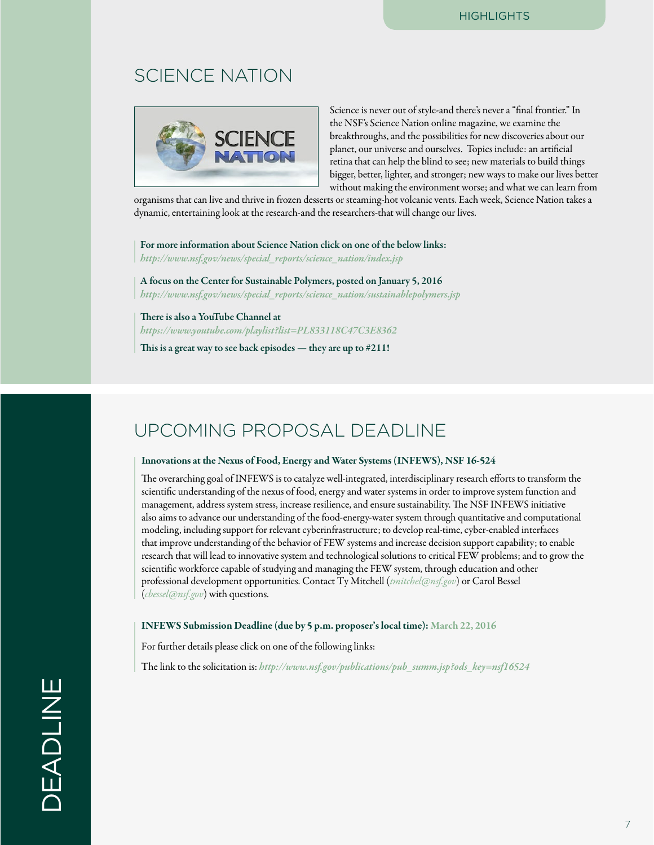# <span id="page-6-0"></span>SCIENCE NATION



Science is never out of style-and there's never a "final frontier." In the NSF's Science Nation online magazine, we examine the breakthroughs, and the possibilities for new discoveries about our planet, our universe and ourselves. Topics include: an artificial retina that can help the blind to see; new materials to build things bigger, better, lighter, and stronger; new ways to make our lives better without making the environment worse; and what we can learn from

organisms that can live and thrive in frozen desserts or steaming-hot volcanic vents. Each week, Science Nation takes a dynamic, entertaining look at the research-and the researchers-that will change our lives.

For more information about Science Nation click on one of the below links:

*[http://www.nsf.gov/news/special\\_reports/science\\_nation/index.jsp](http://www.nsf.gov/news/special_reports/science_nation/index.jsp)*

A focus on the Center for Sustainable Polymers, posted on January 5, 2016 *[http://www.nsf.gov/news/special\\_reports/science\\_nation/sustainablepolymers.jsp](http://www.nsf.gov/news/special_reports/science_nation/sustainablepolymers.jsp)*

There is also a YouTube Channel at *[https://www.youtube.com/playlist?list=PL833118C47C3E8362](http://www.nsf.gov/cgi-bin/goodbye?https://www.youtube.com/playlist%3Flist%3DPL833118C47C3E8362)* This is a great way to see back episodes — they are up to #211!

# UPCOMING PROPOSAL DEADLINE

#### Innovations at the Nexus of Food, Energy and Water Systems (INFEWS), NSF 16-524

The overarching goal of INFEWS is to catalyze well-integrated, interdisciplinary research efforts to transform the scientific understanding of the nexus of food, energy and water systems in order to improve system function and management, address system stress, increase resilience, and ensure sustainability. The NSF INFEWS initiative also aims to advance our understanding of the food-energy-water system through quantitative and computational modeling, including support for relevant cyberinfrastructure; to develop real-time, cyber-enabled interfaces that improve understanding of the behavior of FEW systems and increase decision support capability; to enable research that will lead to innovative system and technological solutions to critical FEW problems; and to grow the scientific workforce capable of studying and managing the FEW system, through education and other professional development opportunities. Contact Ty Mitchell (*[tmitchel@nsf.gov](mailto:tmitchel@nsf.gov)*) or Carol Bessel (*[cbessel@nsf.gov](mailto:cbessel@nsf.gov)*) with questions.

#### INFEWS Submission Deadline (due by 5 p.m. proposer's local time): March 22, 2016

For further details please click on one of the following links:

The link to the solicitation is: *[http://www.nsf.gov/publications/pub\\_summ.jsp?ods\\_key=nsf16524](http://www.nsf.gov/publications/pub_summ.jsp?ods_key=nsf16524)*